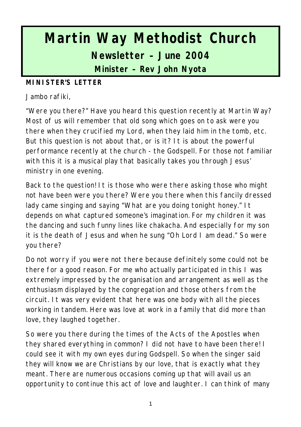# **Martin Way Methodist Church Newsletter – June 2004 Minister – Rev John Nyota**

#### **MINISTER'S LETTER**

Jambo rafiki,

"Were you there?" Have you heard this question recently at Martin Way? Most of us will remember that old song which goes on to ask were you there when they crucified my Lord, when they laid him in the tomb, etc. But this question is not about that, or is it? It is about the powerful performance recently at the church - the Godspell. For those not familiar with this it is a musical play that basically takes you through Jesus' ministry in one evening.

Back to the question! It is those who were there asking those who might not have been were you there? Were you there when this fancily dressed lady came singing and saying "What are you doing tonight honey." It depends on what captured someone's imagination. For my children it was the dancing and such funny lines like chakacha. And especially for my son it is the death of Jesus and when he sung "Oh Lord I am dead." So were you there?

Do not worry if you were not there because definitely some could not be there for a good reason. For me who actually participated in this I was extremely impressed by the organisation and arrangement as well as the enthusiasm displayed by the congregation and those others from the circuit. It was very evident that here was one body with all the pieces working in tandem. Here was love at work in a family that did more than love, they laughed together.

So were you there during the times of the Acts of the Apostles when they shared everything in common? I did not have to have been there! I could see it with my own eyes during Godspell. So when the singer said they will know we are Christians by our love, that is exactly what they meant. There are numerous occasions coming up that will avail us an opportunity to continue this act of love and laughter. I can think of many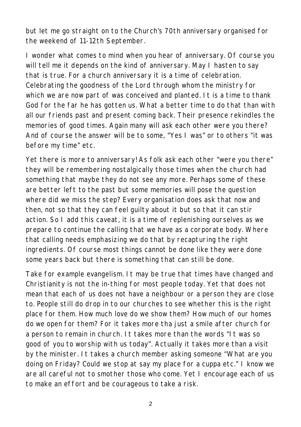but let me go straight on to the Church's 70th anniversary organised for the weekend of 11-12th September.

I wonder what comes to mind when you hear of anniversary. Of course you will tell me it depends on the kind of anniversary. May I hasten to say that is true. For a church anniversary it is a time of celebration. Celebrating the goodness of the Lord through whom the ministry for which we are now part of was conceived and planted. It is a time to thank God for the far he has gotten us. What a better time to do that than with all our friends past and present coming back. Their presence rekindles the memories of good times. Again many will ask each other were you there? And of course the answer will be to some, "Yes I was" or to others "it was before my time" etc.

Yet there is more to anniversary! As folk ask each other "were you there" they will be remembering nostalgically those times when the church had something that maybe they do not see any more. Perhaps some of these are better left to the past but some memories will pose the question where did we miss the step? Every organisation does ask that now and then, not so that they can feel guilty about it but so that it can stir action. So I add this caveat, it is a time of replenishing ourselves as we prepare to continue the calling that we have as a corporate body. Where that calling needs emphasizing we do that by recapturing the right ingredients. Of course most things cannot be done like they were done some years back but there is something that can still be done.

Take for example evangelism. It may be true that times have changed and Christianity is not the in-thing for most people today. Yet that does not mean that each of us does not have a neighbour or a person they are close to. People still do drop in to our churches to see whether this is the right place for them. How much love do we show them? How much of our homes do we open for them? For it takes more tha just a smile after church for a person to remain in church. It takes more than the words "It was so good of you to worship with us today". Actually it takes more than a visit by the minister. It takes a church member asking someone "What are you doing on Friday? Could we stop at say my place for a cuppa etc." I know we are all careful not to smother those who come. Yet I encourage each of us to make an effort and be courageous to take a risk.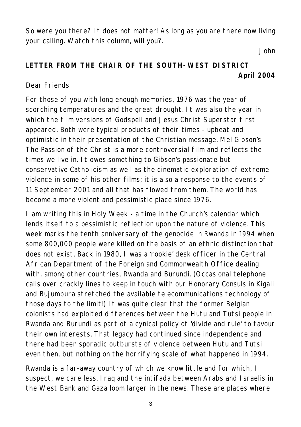So were you there? It does not matter! As long as you are there now living your calling. Watch this column, will you?.

*John*

# **LETTER FROM THE CHAIR OF THE SOUTH-WEST DISTRICT April 2004**

#### Dear Friends

For those of you with long enough memories, 1976 was the year of scorching temperatures and the great drought. It was also the year in which the film versions of Godspell and Jesus Christ Superstar first appeared. Both were typical products of their times - upbeat and optimistic in their presentation of the Christian message. Mel Gibson's The Passion of the Christ is a more controversial film and reflects the times we live in. It owes something to Gibson's passionate but conservative Catholicism as well as the cinematic exploration of extreme violence in some of his other films; it is also a response to the events of 11 September 2001 and all that has flowed from them. The world has become a more violent and pessimistic place since 1976.

I am writing this in Holy Week - a time in the Church's calendar which lends itself to a pessimistic reflection upon the nature of violence. This week marks the tenth anniversary of the genocide in Rwanda in 1994 when some 800,000 people were killed on the basis of an ethnic distinction that does not exist. Back in 1980, I was a 'rookie' desk officer in the Central African Department of the Foreign and Commonwealth Office dealing with, among other countries, Rwanda and Burundi. (Occasional telephone calls over crackly lines to keep in touch with our Honorary Consuls in Kigali and Bujumbura stretched the available telecommunications technology of those days to the limit!) It was quite clear that the former Belgian colonists had exploited differences between the Hutu and Tutsi people in Rwanda and Burundi as part of a cynical policy of 'divide and rule' to favour their own interests. That legacy had continued since independence and there had been sporadic outbursts of violence between Hutu and Tutsi even then, but nothing on the horrifying scale of what happened in 1994.

Rwanda is a far-away country of which we know little and for which, I suspect, we care less. Iraq and the intifada between Arabs and Israelis in the West Bank and Gaza loom larger in the news. These are places where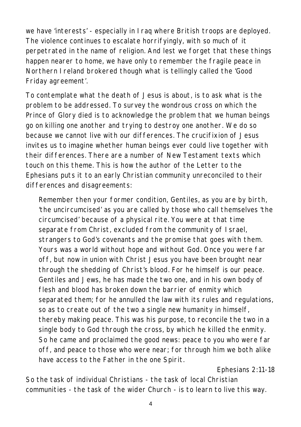we have 'interests' - especially in Iraq where British troops are deployed. The violence continues to escalate horrifyingly, with so much of it perpetrated in the name of religion. And lest we forget that these things happen nearer to home, we have only to remember the fragile peace in Northern Ireland brokered though what is tellingly called the 'Good Friday agreement'.

To contemplate what the death of Jesus is about, is to ask what is the problem to be addressed. To survey the wondrous cross on which the Prince of Glory died is to acknowledge the problem that we human beings go on killing one another and trying to destroy one another. We do so because we cannot live with our differences. The crucifixion of Jesus invites us to imagine whether human beings ever could live together with their differences. There are a number of New Testament texts which touch on this theme. This is how the author of the Letter to the Ephesians puts it to an early Christian community unreconciled to their differences and disagreements:

*Remember then your former condition, Gentiles, as you are by birth, 'the uncircumcised' as you are called by those who call themselves 'the circumcised' because of a physical rite. You were at that time separate from Christ, excluded from the community of Israel, strangers to God's covenants and the promise that goes with them. Yours was a world without hope and without God. Once you were far off, but now in union with Christ Jesus you have been brought near through the shedding of Christ's blood. For he himself is our peace. Gentiles and Jews, he has made the two one, and in his own body of flesh and blood has broken down the barrier of enmity which separated them; for he annulled the law with its rules and regulations, so as to create out of the two a single new humanity in himself, thereby making peace. This was his purpose, to reconcile the two in a single body to God through the cross, by which he killed the enmity. So he came and proclaimed the good news: peace to you who were far off, and peace to those who were near; for through him we both alike have access to the Father in the one Spirit.*

*Ephesians 2:11-18*

So the task of individual Christians - the task of local Christian communities - the task of the wider Church - is to learn to live this way.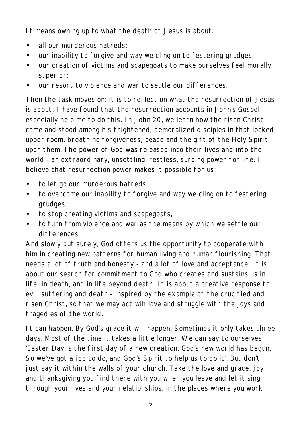It means owning up to what the death of Jesus is about:

- all our murderous hatreds:
- our inability to forgive and way we cling on to festering grudges;
- our creation of victims and scapegoats to make ourselves feel morally superior;
- our resort to violence and war to settle our differences.

Then the task moves on: it is to reflect on what the resurrection of Jesus is about. I have found that the resurrection accounts in John's Gospel especially help me to do this. In John 20, we learn how the risen Christ came and stood among his frightened, demoralized disciples in that locked upper room, breathing forgiveness, peace and the gift of the Holy Spirit upon them. The power of God was released into their lives and into the world - an extraordinary, unsettling, restless, surging power for life. I believe that resurrection power makes it possible for us:

- to let go our murderous hatreds
- to overcome our inability to forgive and way we cling on to festering grudges;
- to stop creating victims and scapegoats;
- to turn from violence and war as the means by which we settle our differences

And slowly but surely, God offers us the opportunity to cooperate with him in creating new patterns for human living and human flourishing. That needs a lot of truth and honesty - and a lot of love and acceptance. It is about our search for commitment to God who creates and sustains us in life, in death, and in life beyond death. It is about a creative response to evil, suffering and death - inspired by the example of the crucified and risen Christ, so that we may act wih love and struggle with the joys and tragedies of the world.

It can happen. By God's grace it will happen. Sometimes it only takes three days. Most of the time it takes a little longer. We can say to ourselves: 'Easter Day is the first day of a new creation. God's new world has begun. So we've got a job to do, and God's Spirit to help us to do it'. But don't just say it within the walls of your church. Take the love and grace, joy and thanksgiving you find there with you when you leave and let it sing through your lives and your relationships, in the places where you work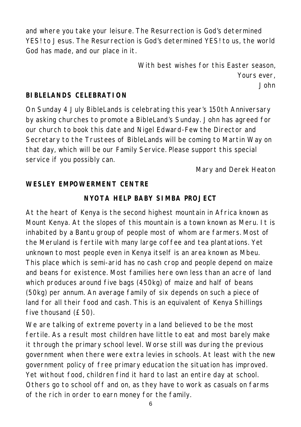and where you take your leisure. The Resurrection is God's determined YES! to Jesus. The Resurrection is God's determined YES! to us, the world God has made, and our place in it.

> *With best wishes for this Easter season, Yours ever, John*

#### **BIBLELANDS CELEBRATION**

On Sunday 4 July BibleLands is celebrating this year's 150th Anniversary by asking churches to promote a BibleLand's Sunday. John has agreed for our church to book this date and Nigel Edward-Few the Director and Secretary to the Trustees of BibleLands will be coming to Martin Way on that day, which will be our Family Service. Please support this special service if you possibly can.

*Mary and Derek Heaton*

#### **WESLEY EMPOWERMENT CENTRE**

#### **NYOTA HELP BABY SIMBA PROJECT**

At the heart of Kenya is the second highest mountain in Africa known as Mount Kenya. At the slopes of this mountain is a town known as Meru. It is inhabited by a Bantu group of people most of whom are farmers. Most of the Meruland is fertile with many large coffee and tea plantations. Yet unknown to most people even in Kenya itself is an area known as Mbeu. This place which is semi-arid has no cash crop and people depend on maize and beans for existence. Most families here own less than an acre of land which produces around five bags (450kg) of maize and half of beans (50kg) per annum. An average family of six depends on such a piece of land for all their food and cash. This is an equivalent of Kenya Shillings five thousand (£50).

We are talking of extreme poverty in a land believed to be the most fertile. As a result most children have little to eat and most barely make it through the primary school level. Worse still was during the previous government when there were extra levies in schools. At least with the new government policy of free primary education the situation has improved. Yet without food, children find it hard to last an entire day at school. Others go to school off and on, as they have to work as casuals on farms of the rich in order to earn money for the family.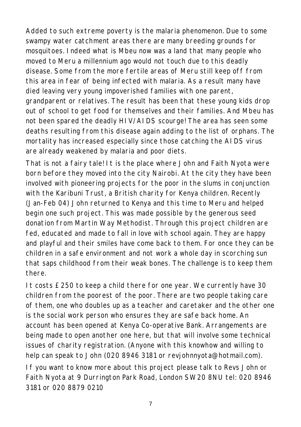Added to such extreme poverty is the malaria phenomenon. Due to some swampy water catchment areas there are many breeding grounds for mosquitoes. Indeed what is Mbeu now was a land that many people who moved to Meru a millennium ago would not touch due to this deadly disease. Some from the more fertile areas of Meru still keep off from this area in fear of being infected with malaria. As a result many have died leaving very young impoverished families with one parent, grandparent or relatives. The result has been that these young kids drop out of school to get food for themselves and their families. And Mbeu has not been spared the deadly HIV/AIDS scourge! The area has seen some deaths resulting from this disease again adding to the list of orphans. The mortality has increased especially since those catching the AIDS virus are already weakened by malaria and poor diets.

That is not a fairy tale! It is the place where John and Faith Nyota were born before they moved into the city Nairobi. At the city they have been involved with pioneering projects for the poor in the slums in conjunction with the Karibuni Trust, a British charity for Kenya children. Recently (Jan-Feb 04) John returned to Kenya and this time to Meru and helped begin one such project. This was made possible by the generous seed donation from Martin Way Methodist. Through this project children are fed, educated and made to fall in love with school again. They are happy and playful and their smiles have come back to them. For once they can be children in a safe environment and not work a whole day in scorching sun that saps childhood from their weak bones. The challenge is to keep them there.

It costs £250 to keep a child there for one year. We currently have 30 children from the poorest of the poor. There are two people taking care of them, one who doubles up as a teacher and caretaker and the other one is the social work person who ensures they are safe back home. An account has been opened at Kenya Co-operative Bank. Arrangements are being made to open another one here, but that will involve some technical issues of charity registration. (Anyone with this knowhow and willing to help can speak to John (020 8946 3181 or revjohnnyota@hotmail.com).

*If you want to know more about this project please talk to Revs John or Faith Nyota at 9 Durrington Park Road, London SW20 8NU tel: 020 8946 3181 or 020 8879 0210*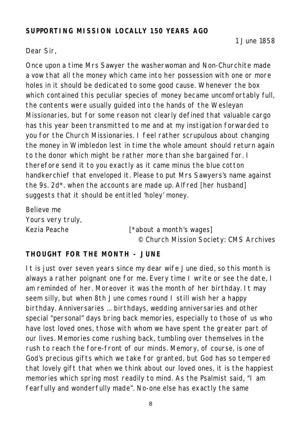#### **SUPPORTING MISSION LOCALLY 150 YEARS AGO**

#### Dear Sir,

Once upon a time Mrs Sawyer the washerwoman and Non-Churchite made a vow that all the money which came into her possession with one or more holes in it should be dedicated to some good cause. Whenever the box which contained this peculiar species of money became uncomfortably full, the contents were usually guided into the hands of the Wesleyan Missionaries, but for some reason not clearly defined that valuable cargo has this year been transmitted to me and at my instigation forwarded to you for the Church Missionaries. I feel rather scrupulous about changing the money in Wimbledon lest in time the whole amount should return again to the donor which might be rather more than she bargained for. I therefore send it to you exactly as it came minus the blue cotton handkerchief that enveloped it. Please to put Mrs Sawyers's name against the 9s. 2d\*. when the accounts are made up. Alfred [her husband] suggests that it should be entitled 'holey' money.

Believe me Yours very truly,

Kezia Peache [\*about a month's wages] *© Church Mission Society: CMS Archives*

#### **THOUGHT FOR THE MONTH - JUNE**

It is just over seven years since my dear wife June died, so this month is always a rather poignant one for me. Every time I write or see the date, I am reminded of her. Moreover it was the month of her birthday. It may seem silly, but when 8th June comes round I still wish her a happy birthday. Anniversaries ... birthdays, wedding anniversaries and other special "personal" days bring back memories, especially to those of us who have lost loved ones, those with whom we have spent the greater part of our lives. Memories come rushing back, tumbling over themselves in the rush to reach the fore-front of our minds. Memory, of course, is one of God's precious gifts which we take for granted, but God has so tempered that lovely gift that when we think about our loved ones, it is the happiest memories which spring most readily to mind. As the Psalmist said, "I am fearfully and wonderfully made". No-one else has exactly the same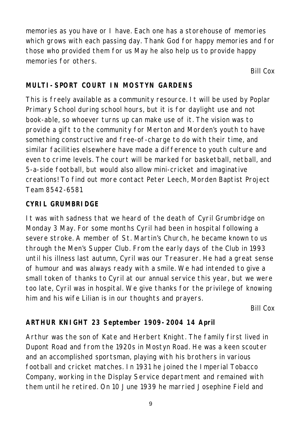memories as you have or I have. Each one has a storehouse of memories which grows with each passing day. Thank God for happy memories and for those who provided them for us May he also help us to provide happy memories for others.

*Bill Cox*

## **MULTI-SPORT COURT IN MOSTYN GARDENS**

This is freely available as a community resource. It will be used by Poplar Primary School during school hours, but it is for daylight use and not book-able, so whoever turns up can make use of it. The vision was to provide a gift to the community for Merton and Morden's youth to have something constructive and free-of-charge to do with their time, and similar facilities elsewhere have made a difference to youth culture and even to crime levels. The court will be marked for basketball, netball, and 5-a-side football, but would also allow mini-cricket and imaginative creations! To find out more contact Peter Leech, Morden Baptist Project Team 8542-6581

#### **CYRIL GRUMBRIDGE**

It was with sadness that we heard of the death of Cyril Grumbridge on Monday 3 May. For some months Cyril had been in hospital following a severe stroke. A member of St. Martin's Church, he became known to us through the Men's Supper Club. From the early days of the Club in 1993 until his illness last autumn, Cyril was our Treasurer. He had a great sense of humour and was always ready with a smile. We had intended to give a small token of thanks to Cyril at our annual service this year, but we were too late, Cyril was in hospital. We give thanks for the privilege of knowing him and his wife Lilian is in our thoughts and prayers.

*Bill Cox*

# **ARTHUR KNIGHT 23 September 1909-2004 14 April**

Arthur was the son of Kate and Herbert Knight. The family first lived in Dupont Road and from the 1920s in Mostyn Road. He was a keen scouter and an accomplished sportsman, playing with his brothers in various football and cricket matches. In 1931 he joined the Imperial Tobacco Company, working in the Display Service department and remained with them until he retired. On 10 June 1939 he married Josephine Field and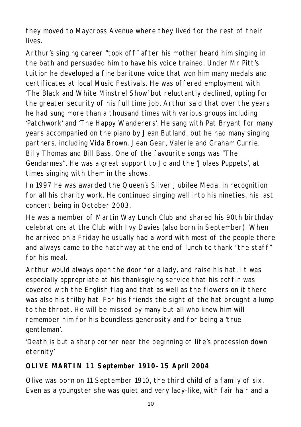they moved to Maycross Avenue where they lived for the rest of their lives.

Arthur's singing career "took off" after his mother heard him singing in the bath and persuaded him to have his voice trained. Under Mr Pitt's tuition he developed a fine baritone voice that won him many medals and certificates at local Music Festivals. He was offered employment with 'The Black and White Minstrel Show' but reluctantly declined, opting for the greater security of his full time job. Arthur said that over the years he had sung more than a thousand times with various groups including 'Patchwork' and 'The Happy Wanderers'. He sang with Pat Bryant for many years accompanied on the piano by Jean Butland, but he had many singing partners, including Vida Brown, Jean Gear, Valerie and Graham Currie, Billy Thomas and Bill Bass. One of the favourite songs was "The Gendarmes". He was a great support to Jo and the 'Jolaes Puppets', at times singing with them in the shows.

In 1997 he was awarded the Queen's Silver Jubilee Medal in recognition for all his charity work. He continued singing well into his nineties, his last concert being in October 2003.

He was a member of Martin Way Lunch Club and shared his 90th birthday celebrations at the Club with Ivy Davies (also born in September). When he arrived on a Friday he usually had a word with most of the people there and always came to the hatchway at the end of lunch to thank "the staff" for his meal.

Arthur would always open the door for a lady, and raise his hat. It was especially appropriate at his thanksgiving service that his coffin was covered with the English flag and that as well as the flowers on it there was also his trilby hat. For his friends the sight of the hat brought a lump to the throat. He will be missed by many but all who knew him will remember him for his boundless generosity and for being a 'true gentleman'.

*'Death is but a sharp corner near the beginning of life's procession down eternity'*

# **OLIVE MARTIN 11 September 1910-15 April 2004**

Olive was born on 11 September 1910, the third child of a family of six. Even as a youngster she was quiet and very lady-like, with fair hair and a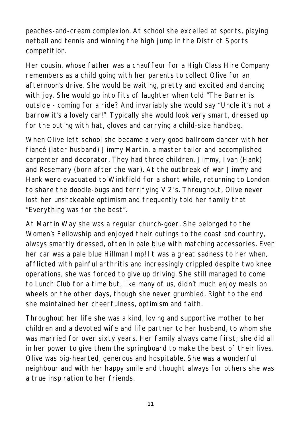peaches-and-cream complexion. At school she excelled at sports, playing netball and tennis and winning the high jump in the District Sports competition.

Her cousin, whose father was a chauffeur for a High Class Hire Company remembers as a child going with her parents to collect Olive for an afternoon's drive. She would be waiting, pretty and excited and dancing with joy. She would go into fits of laughter when told "The Barrer is outside - coming for a ride? And invariably she would say "Uncle it's not a barrow it's a lovely car!". Typically she would look very smart, dressed up for the outing with hat, gloves and carrying a child-size handbag.

When Olive left school she became a very good ballroom dancer with her fiancé (later husband) Jimmy Martin, a master tailor and accomplished carpenter and decorator. They had three children, Jimmy, Ivan (Hank) and Rosemary (born after the war). At the outbreak of war Jimmy and Hank were evacuated to Winkfield for a short while, returning to London to share the doodle-bugs and terrifying V 2's. Throughout, Olive never lost her unshakeable optimism and frequently told her family that "Everything was for the best".

At Martin Way she was a regular church-goer. She belonged to the Women's Fellowship and enjoyed their outings to the coast and country, always smartly dressed, often in pale blue with matching accessories. Even her car was a pale blue Hillman Imp! It was a great sadness to her when, afflicted with painful arthritis and increasingly crippled despite two knee operations, she was forced to give up driving. She still managed to come to Lunch Club for a time but, like many of us, didn't much enjoy meals on wheels on the other days, though she never grumbled. Right to the end she maintained her cheerfulness, optimism and faith.

Throughout her life she was a kind, loving and supportive mother to her children and a devoted wife and life partner to her husband, to whom she was married for over sixty years. Her family always came first; she did all in her power to give them the springboard to make the best of their lives. Olive was big-hearted, generous and hospitable. She was a wonderful neighbour and with her happy smile and thought always for others she was a true inspiration to her friends.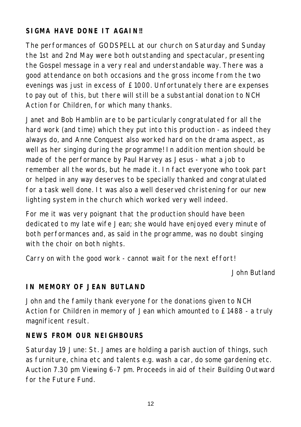## **SIGMA HAVE DONE IT AGAIN!!**

The performances of GODSPELL at our church on Saturday and Sunday the 1st and 2nd May were both outstanding and spectacular, presenting the Gospel message in a very real and understandable way. There was a good attendance on both occasions and the gross income from the two evenings was just in excess of £1000. Unfortunately there are expenses to pay out of this, but there will still be a substantial donation to NCH Action for Children, for which many thanks.

Janet and Bob Hamblin are to be particularly congratulated for all the hard work (and time) which they put into this production - as indeed they always do, and Anne Conquest also worked hard on the drama aspect, as well as her singing during the programme! In addition mention should be made of the performance by Paul Harvey as Jesus - what a job to remember all the words, but he made it. In fact everyone who took part or helped in any way deserves to be specially thanked and congratulated for a task well done. It was also a well deserved christening for our new lighting system in the church which worked very well indeed.

For me it was very poignant that the production should have been dedicated to my late wife Jean; she would have enjoyed every minute of both performances and, as said in the programme, was no doubt singing with the choir on both nights.

Carry on with the good work - cannot wait for the next effort!

*John Butland*

#### **IN MEMORY OF JEAN BUTLAND**

John and the family thank everyone for the donations given to NCH Action for Children in memory of Jean which amounted to £1488 - a truly magnificent result.

#### **NEWS FROM OUR NEIGHBOURS**

Saturday 19 June: St. James are holding a parish auction of things, such as furniture, china etc and talents e.g. wash a car, do some gardening etc. Auction 7.30 pm Viewing 6-7 pm. Proceeds in aid of their Building Outward for the Future Fund.